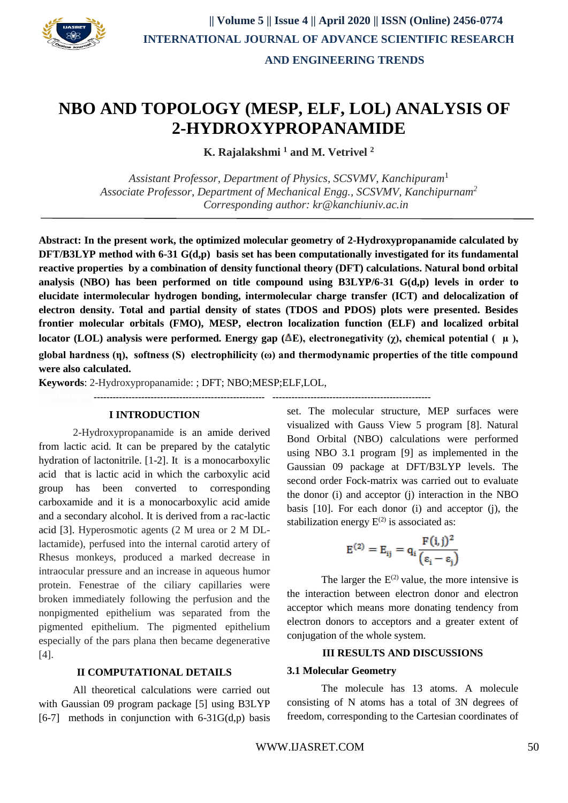

# **NBO AND TOPOLOGY (MESP, ELF, LOL) ANALYSIS OF 2-HYDROXYPROPANAMIDE**

**K. Rajalakshmi <sup>1</sup> and M. Vetrivel <sup>2</sup>**

*Assistant Professor, Department of Physics, SCSVMV, Kanchipuram*<sup>1</sup> *Associate Professor, Department of Mechanical Engg., SCSVMV, Kanchipurnam<sup>2</sup> Corresponding author: [kr@kanchiuniv.ac.in](mailto:kr@kanchiuniv.ac.in)*

**Abstract: In the present work, the optimized molecular geometry of 2-Hydroxypropanamide calculated by DFT/B3LYP method with 6-31 G(d,p) basis set has been computationally investigated for its fundamental reactive properties by a combination of density functional theory (DFT) calculations. Natural bond orbital analysis (NBO) has been performed on title compound using B3LYP/6-31 G(d,p) levels in order to elucidate intermolecular hydrogen bonding, intermolecular charge transfer (ICT) and delocalization of electron density. Total and partial density of states (TDOS and PDOS) plots were presented. Besides frontier molecular orbitals (FMO), MESP, electron localization function (ELF) and localized orbital locator (LOL) analysis were performed. Energy gap (ΔE), electronegativity (χ), chemical potential (** $\mu$ **), global hardness (η), softness (S) electrophilicity (ω) and thermodynamic properties of the title compound were also calculated.**

**Keywords**: 2-Hydroxypropanamide: ; DFT; NBO;MESP;ELF,LOL,

**application. ------------------------------------------------------ --------------------------------------------------**

#### **I INTRODUCTION**

2-Hydroxypropanamide is an amide derived from lactic acid. It can be prepared by the catalytic hydration of lactonitrile. [1-2]. It is a monocarboxylic acid that is lactic acid in which the carboxylic acid group has been converted to corresponding carboxamide and it is a monocarboxylic acid amide and a secondary alcohol. It is derived from a rac-lactic acid [3]. Hyperosmotic agents (2 M urea or 2 M DLlactamide), perfused into the internal carotid artery of Rhesus monkeys, produced a marked decrease in intraocular pressure and an increase in aqueous humor protein. Fenestrae of the ciliary capillaries were broken immediately following the perfusion and the nonpigmented epithelium was separated from the pigmented epithelium. The pigmented epithelium especially of the pars plana then became degenerative [4].

### **II COMPUTATIONAL DETAILS**

All theoretical calculations were carried out with Gaussian 09 program package [5] using B3LYP [6-7] methods in conjunction with 6-31 $G(d,p)$  basis set. The molecular structure, MEP surfaces were visualized with Gauss View 5 program [8]. Natural Bond Orbital (NBO) calculations were performed using NBO 3.1 program [9] as implemented in the Gaussian 09 package at DFT/B3LYP levels. The second order Fock-matrix was carried out to evaluate the donor (i) and acceptor (j) interaction in the NBO basis [10]. For each donor (i) and acceptor (j), the stabilization energy  $E^{(2)}$  is associated as:

$$
E^{(2)} = E_{ij} = q_i \frac{F(i,j)^2}{(\epsilon_i - \epsilon_j)}
$$

The larger the  $E^{(2)}$  value, the more intensive is the interaction between electron donor and electron acceptor which means more donating tendency from electron donors to acceptors and a greater extent of conjugation of the whole system.

### **III RESULTS AND DISCUSSIONS**

#### **3.1 Molecular Geometry**

The molecule has 13 atoms. A molecule consisting of N atoms has a total of 3N degrees of freedom, corresponding to the Cartesian coordinates of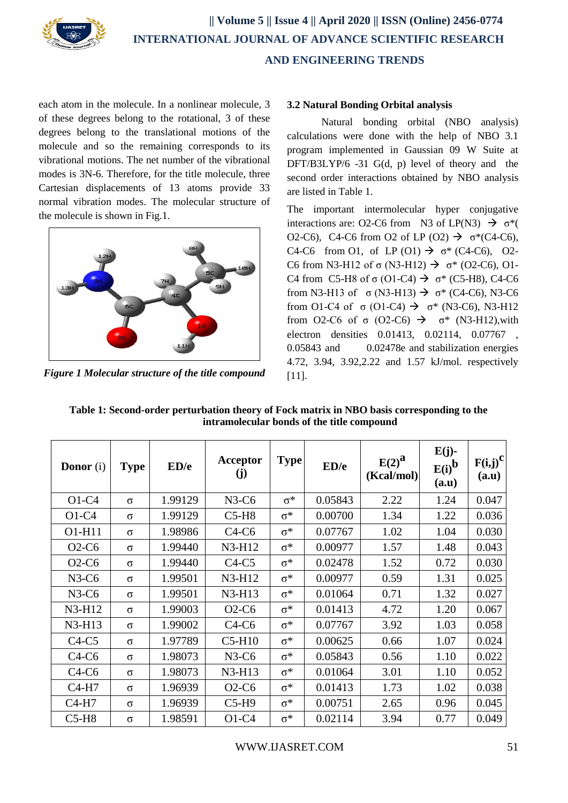

each atom in the molecule. In a nonlinear molecule, 3 of these degrees belong to the rotational, 3 of these degrees belong to the translational motions of the molecule and so the remaining corresponds to its vibrational motions. The net number of the vibrational modes is 3N-6. Therefore, for the title molecule, three Cartesian displacements of 13 atoms provide 33 normal vibration modes. The molecular structure of the molecule is shown in Fig.1.



*Figure 1 Molecular structure of the title compound*

## **3.2 Natural Bonding Orbital analysis**

Natural bonding orbital (NBO analysis) calculations were done with the help of NBO 3.1 program implemented in Gaussian 09 W Suite at DFT/B3LYP/6 -31 G(d, p) level of theory and the second order interactions obtained by NBO analysis are listed in Table 1.

The important intermolecular hyper conjugative interactions are: O2-C6 from N3 of LP(N3)  $\rightarrow \sigma^*$ ( O2-C6), C4-C6 from O2 of LP (O2)  $\rightarrow \sigma^*(C4-C6)$ , C4-C6 from O1, of LP (O1)  $\rightarrow \sigma^*$  (C4-C6), O2-C6 from N3-H12 of σ (N3-H12)  $\rightarrow$  σ<sup>\*</sup> (O2-C6), O1-C4 from C5-H8 of σ (O1-C4)  $\rightarrow$  σ<sup>\*</sup> (C5-H8), C4-C6 from N3-H13 of  $\sigma$  (N3-H13)  $\rightarrow \sigma^*$  (C4-C6), N3-C6 from O1-C4 of  $\sigma$  (O1-C4)  $\rightarrow \sigma^*$  (N3-C6), N3-H12 from O2-C6 of  $\sigma$  (O2-C6)  $\rightarrow \sigma^*$  (N3-H12), with electron densities 0.01413, 0.02114, 0.07767 , 0.05843 and 0.02478e and stabilization energies 4.72, 3.94, 3.92,2.22 and 1.57 kJ/mol. respectively  $[11]$ .

| Table 1: Second-order perturbation theory of Fock matrix in NBO basis corresponding to the |
|--------------------------------------------------------------------------------------------|
| intramolecular bonds of the title compound                                                 |

| Donor (i) | <b>Type</b> | ED/e    | Acceptor<br>$\mathbf{U}$ | <b>Type</b> | ED/e    | E(2) <sup>a</sup><br>(Kcal/mol) | $E(j)$ -<br>$E(i)$ <sup>b</sup><br>(a.u) | $F(i,j)^{C}$<br>(a.u) |
|-----------|-------------|---------|--------------------------|-------------|---------|---------------------------------|------------------------------------------|-----------------------|
| $O1-C4$   | $\sigma$    | 1.99129 | $N3-C6$                  | $\sigma^*$  | 0.05843 | 2.22                            | 1.24                                     | 0.047                 |
| $O1-C4$   | $\sigma$    | 1.99129 | $C5-H8$                  | $\sigma^*$  | 0.00700 | 1.34                            | 1.22                                     | 0.036                 |
| O1-H11    | $\sigma$    | 1.98986 | $C4-C6$                  | $\sigma^*$  | 0.07767 | 1.02                            | 1.04                                     | 0.030                 |
| $O2-C6$   | $\sigma$    | 1.99440 | N3-H12                   | $\sigma^*$  | 0.00977 | 1.57                            | 1.48                                     | 0.043                 |
| $O2-C6$   | $\sigma$    | 1.99440 | $C4-C5$                  | $\sigma^*$  | 0.02478 | 1.52                            | 0.72                                     | 0.030                 |
| $N3-C6$   | $\sigma$    | 1.99501 | N3-H12                   | $\sigma^*$  | 0.00977 | 0.59                            | 1.31                                     | 0.025                 |
| $N3-C6$   | $\sigma$    | 1.99501 | N3-H13                   | $\sigma^*$  | 0.01064 | 0.71                            | 1.32                                     | 0.027                 |
| N3-H12    | $\sigma$    | 1.99003 | $O2-C6$                  | $\sigma^*$  | 0.01413 | 4.72                            | 1.20                                     | 0.067                 |
| N3-H13    | $\sigma$    | 1.99002 | $C4-C6$                  | $\sigma^*$  | 0.07767 | 3.92                            | 1.03                                     | 0.058                 |
| $C4-C5$   | $\sigma$    | 1.97789 | $C5-H10$                 | $\sigma^*$  | 0.00625 | 0.66                            | 1.07                                     | 0.024                 |
| $C4-C6$   | $\sigma$    | 1.98073 | $N3-C6$                  | $\sigma^*$  | 0.05843 | 0.56                            | 1.10                                     | 0.022                 |
| $C4-C6$   | $\sigma$    | 1.98073 | $N3-H13$                 | $\sigma^*$  | 0.01064 | 3.01                            | 1.10                                     | 0.052                 |
| $C4-H7$   | $\sigma$    | 1.96939 | $O2-C6$                  | $\sigma^*$  | 0.01413 | 1.73                            | 1.02                                     | 0.038                 |
| C4-H7     | $\sigma$    | 1.96939 | $C5-H9$                  | $\sigma^*$  | 0.00751 | 2.65                            | 0.96                                     | 0.045                 |
| $C5-H8$   | $\sigma$    | 1.98591 | $O1-C4$                  | $\sigma^*$  | 0.02114 | 3.94                            | 0.77                                     | 0.049                 |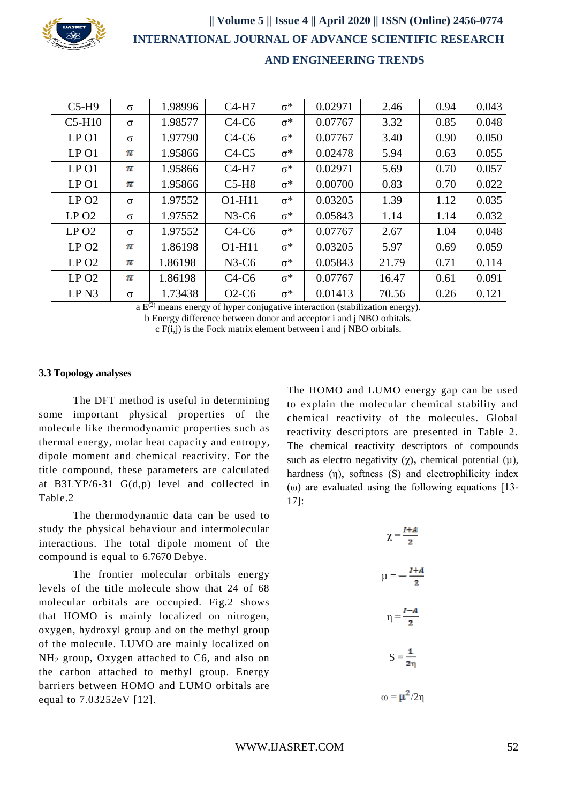

| $C5-H9$          | $\sigma$ | 1.98996 | $C4-H7$ | $\sigma^*$ | 0.02971 | 2.46  | 0.94 | 0.043 |
|------------------|----------|---------|---------|------------|---------|-------|------|-------|
| $C5-H10$         | $\sigma$ | 1.98577 | $C4-C6$ | $\sigma^*$ | 0.07767 | 3.32  | 0.85 | 0.048 |
| LP <sub>O1</sub> | $\sigma$ | 1.97790 | $C4-C6$ | $\sigma^*$ | 0.07767 | 3.40  | 0.90 | 0.050 |
| LP <sub>01</sub> | π        | 1.95866 | $C4-C5$ | $\sigma^*$ | 0.02478 | 5.94  | 0.63 | 0.055 |
| LP <sub>01</sub> | π        | 1.95866 | $C4-H7$ | $\sigma^*$ | 0.02971 | 5.69  | 0.70 | 0.057 |
| LP <sub>O1</sub> | π        | 1.95866 | $C5-H8$ | $\sigma^*$ | 0.00700 | 0.83  | 0.70 | 0.022 |
| LPO2             | $\sigma$ | 1.97552 | O1-H11  | $\sigma^*$ | 0.03205 | 1.39  | 1.12 | 0.035 |
| LPO2             | $\sigma$ | 1.97552 | $N3-C6$ | $\sigma^*$ | 0.05843 | 1.14  | 1.14 | 0.032 |
| LPO2             | $\sigma$ | 1.97552 | $C4-C6$ | $\sigma^*$ | 0.07767 | 2.67  | 1.04 | 0.048 |
| LPO2             | π        | 1.86198 | O1-H11  | $\sigma^*$ | 0.03205 | 5.97  | 0.69 | 0.059 |
| LPO2             | π        | 1.86198 | $N3-C6$ | $\sigma^*$ | 0.05843 | 21.79 | 0.71 | 0.114 |
| LPO2             | π        | 1.86198 | $C4-C6$ | $\sigma^*$ | 0.07767 | 16.47 | 0.61 | 0.091 |
| LP <sub>N3</sub> | $\sigma$ | 1.73438 | $O2-C6$ | $\sigma^*$ | 0.01413 | 70.56 | 0.26 | 0.121 |

 $a E^{(2)}$  means energy of hyper conjugative interaction (stabilization energy).

b Energy difference between donor and acceptor i and j NBO orbitals.

c F(i,j) is the Fock matrix element between i and j NBO orbitals.

### **3.3 Topology analyses**

The DFT method is useful in determining some important physical properties of the molecule like thermodynamic properties such as thermal energy, molar heat capacity and entropy, dipole moment and chemical reactivity. For the title compound, these parameters are calculated at B3LYP/6-31 G(d,p) level and collected in Table<sub>2</sub>

The thermodynamic data can be used to study the physical behaviour and intermolecular interactions. The total dipole moment of the compound is equal to 6.7670 Debye.

The frontier molecular orbitals energy levels of the title molecule show that 24 of 68 molecular orbitals are occupied. Fig.2 shows that HOMO is mainly localized on nitrogen, oxygen, hydroxyl group and on the methyl group of the molecule. LUMO are mainly localized on NH<sup>2</sup> group, Oxygen attached to C6, and also on the carbon attached to methyl group. Energy barriers between HOMO and LUMO orbitals are equal to 7.03252eV [12].

The HOMO and LUMO energy gap can be used to explain the molecular chemical stability and chemical reactivity of the molecules. Global reactivity descriptors are presented in Table 2. The chemical reactivity descriptors of compounds such as electro negativity  $(\gamma)$ , chemical potential  $(\mu)$ , hardness (η), softness (S) and electrophilicity index ( $\omega$ ) are evaluated using the following equations [13-17]:

$$
\chi = \frac{I+A}{2}
$$

$$
\mu = -\frac{I+A}{2}
$$

$$
\eta = \frac{I-A}{2}
$$

$$
S = \frac{1}{2\eta}
$$

$$
\omega = \mu^2/2\eta
$$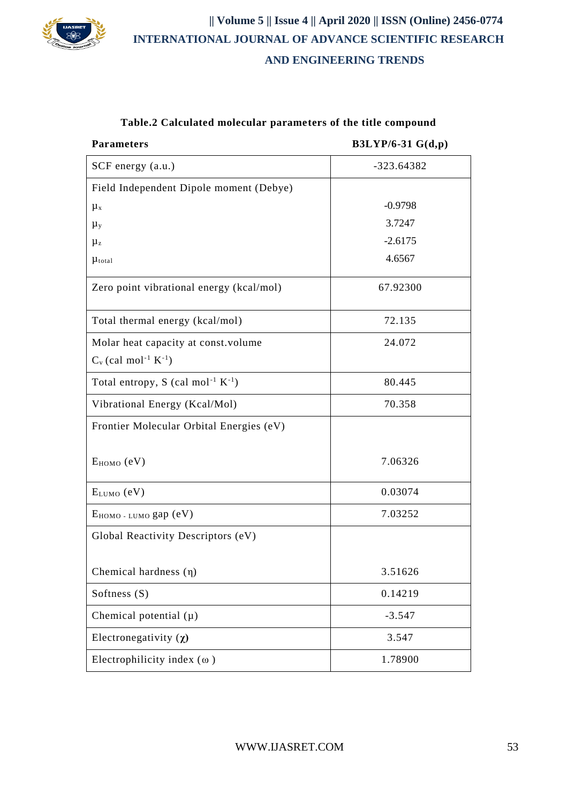

## **Table.2 Calculated molecular parameters of the title compound**

| <b>Parameters</b>                                  | B3LYP/6-31 $G(d,p)$ |
|----------------------------------------------------|---------------------|
| $SCF$ energy $(a.u.)$                              | -323.64382          |
| Field Independent Dipole moment (Debye)            |                     |
| $\mu_{x}$                                          | $-0.9798$           |
| $\mu_y$                                            | 3.7247              |
| μz                                                 | $-2.6175$           |
| Utotal                                             | 4.6567              |
| Zero point vibrational energy (kcal/mol)           | 67.92300            |
| Total thermal energy (kcal/mol)                    | 72.135              |
| Molar heat capacity at const.volume                | 24.072              |
| $C_v$ (cal mol <sup>-1</sup> K <sup>-1</sup> )     |                     |
| Total entropy, S (cal mol <sup>-1</sup> $K^{-1}$ ) | 80.445              |
| Vibrational Energy (Kcal/Mol)                      | 70.358              |
| Frontier Molecular Orbital Energies (eV)           |                     |
| Еномо (eV)                                         | 7.06326             |
| $E_{LUMO}$ (eV)                                    | 0.03074             |
| Еномо - LUMO gap (eV)                              | 7.03252             |
| Global Reactivity Descriptors (eV)                 |                     |
| Chemical hardness $(\eta)$                         | 3.51626             |
| Softness (S)                                       | 0.14219             |
| Chemical potential $(\mu)$                         | $-3.547$            |
| Electronegativity $(\chi)$                         | 3.547               |
| Electrophilicity index $(\omega)$                  | 1.78900             |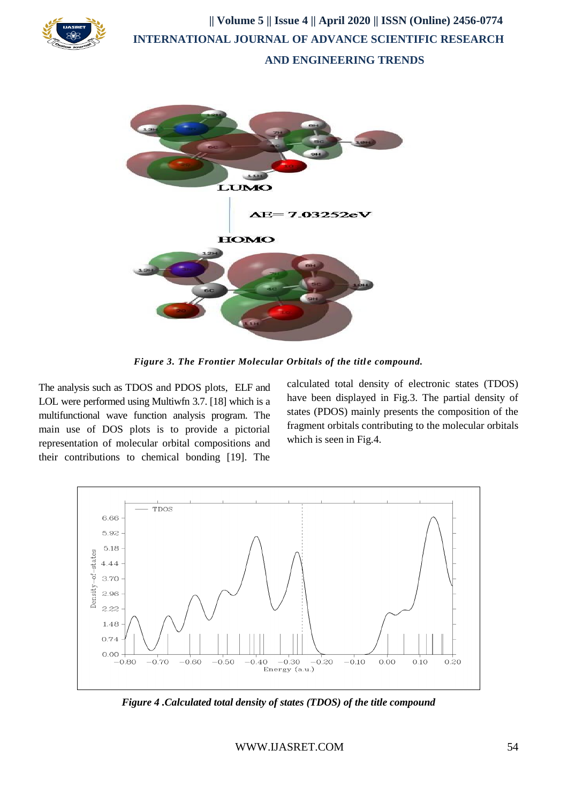



*Figure 3. The Frontier Molecular Orbitals of the titl e compound.*

The analysis such as TDOS and PDOS plots, ELF and LOL were performed using Multiwfn 3.7. [18] which is a multifunctional wave function analysis program. The main use of DOS plots is to provide a pictorial representation of molecular orbital compositions and their contributions to chemical bonding [19]. The calculated total density of electronic states (TDOS) have been displayed in Fig.3. The partial density of states (PDOS) mainly presents the composition of the fragment orbitals contributing to the molecular orbitals which is seen in Fig.4.



*Figure 4 .Calculated total density of states (TDOS) of the title compound*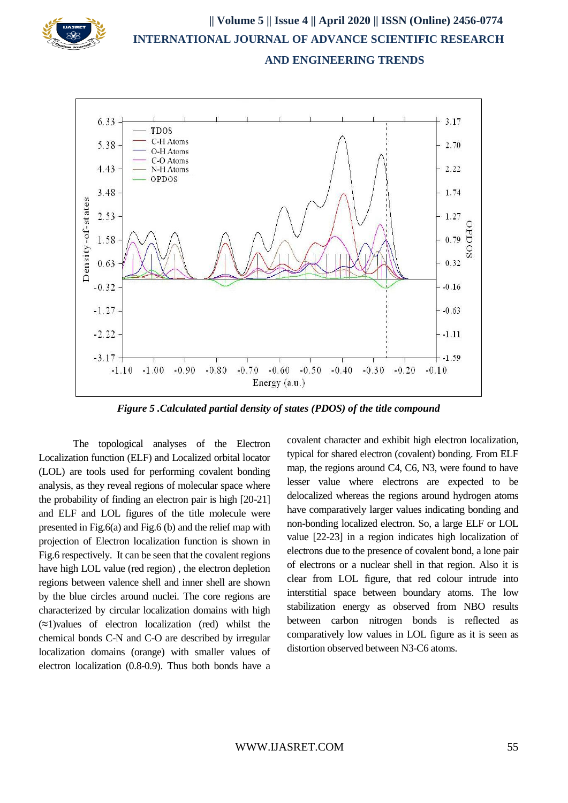



*Figure 5 .Calculated partial density of states (PDOS) of the title compound*

The topological analyses of the Electron Localization function (ELF) and Localized orbital locator (LOL) are tools used for performing covalent bonding analysis, as they reveal regions of molecular space where the probability of finding an electron pair is high [20-21] and ELF and LOL figures of the title molecule were presented in Fig.6(a) and Fig.6 (b) and the relief map with projection of Electron localization function is shown in Fig.6 respectively. It can be seen that the covalent regions have high LOL value (red region) , the electron depletion regions between valence shell and inner shell are shown by the blue circles around nuclei. The core regions are characterized by circular localization domains with high (**≈**1)values of electron localization (red) whilst the chemical bonds C-N and C-O are described by irregular localization domains (orange) with smaller values of electron localization (0.8-0.9). Thus both bonds have a

covalent character and exhibit high electron localization, typical for shared electron (covalent) bonding. From ELF map, the regions around C4, C6, N3, were found to have lesser value where electrons are expected to be delocalized whereas the regions around hydrogen atoms have comparatively larger values indicating bonding and non-bonding localized electron. So, a large ELF or LOL value [22-23] in a region indicates high localization of electrons due to the presence of covalent bond, a lone pair of electrons or a nuclear shell in that region. Also it is clear from LOL figure, that red colour intrude into interstitial space between boundary atoms. The low stabilization energy as observed from NBO results between carbon nitrogen bonds is reflected as comparatively low values in LOL figure as it is seen as distortion observed between N3-C6 atoms.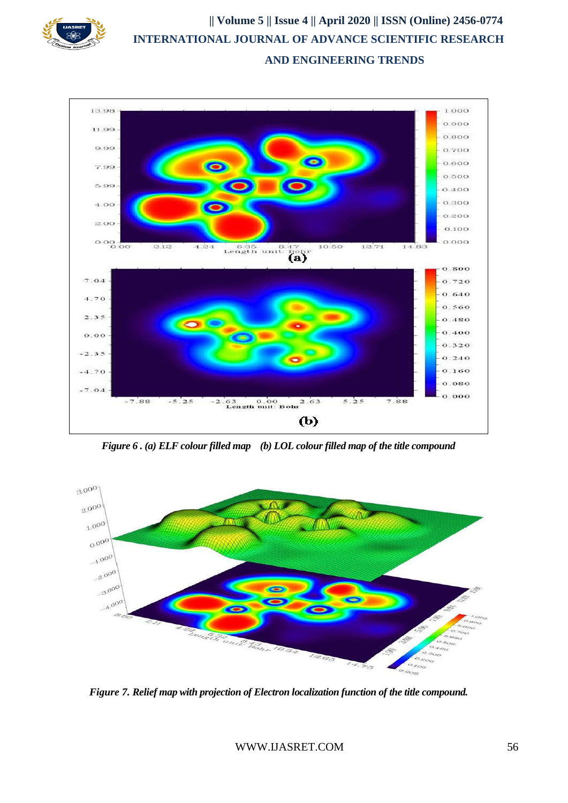



*Figure 6 . (a) ELF colour filled map (b) LOL colour filled map of the title compound*



*Figure 7. Relief map with projection of Electron localization function of the title compound.*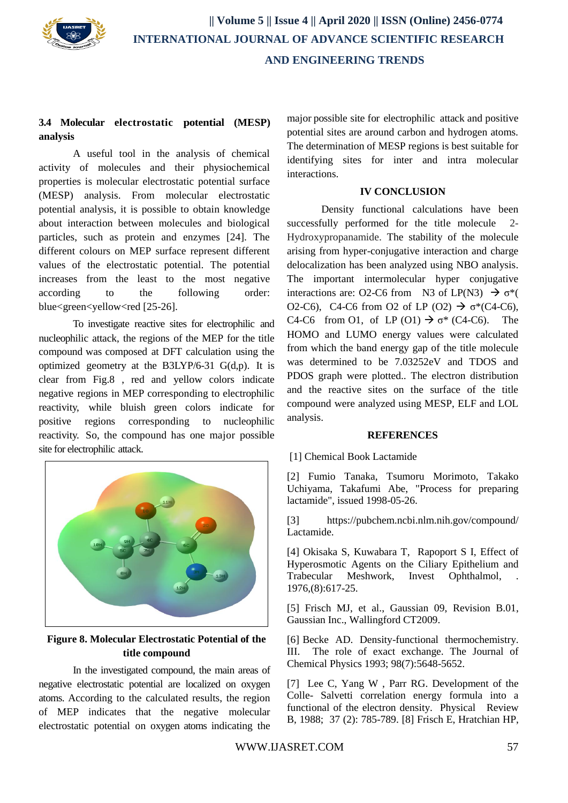

## **3.4 Molecular electrostatic potential (MESP) analysis**

A useful tool in the analysis of chemical activity of molecules and their physiochemical properties is molecular electrostatic potential surface (MESP) analysis. From molecular electrostatic potential analysis, it is possible to obtain knowledge about interaction between molecules and biological particles, such as protein and enzymes [24]. The different colours on MEP surface represent different values of the electrostatic potential. The potential increases from the least to the most negative according to the following order: blue<green<yellow<rd [25-26].

To investigate reactive sites for electrophilic and nucleophilic attack, the regions of the MEP for the title compound was composed at DFT calculation using the optimized geometry at the B3LYP/6-31 G(d,p). It is clear from Fig.8 , red and yellow colors indicate negative regions in MEP corresponding to electrophilic reactivity, while bluish green colors indicate for positive regions corresponding to nucleophilic reactivity. So, the compound has one major possible site for electrophilic attack.



**Figure 8. Molecular Electrostatic Potential of the title compound**

In the investigated compound, the main areas of negative electrostatic potential are localized on oxygen atoms. According to the calculated results, the region of MEP indicates that the negative molecular electrostatic potential on oxygen atoms indicating the major possible site for electrophilic attack and positive potential sites are around carbon and hydrogen atoms. The determination of MESP regions is best suitable for identifying sites for inter and intra molecular interactions.

### **IV CONCLUSION**

Density functional calculations have been successfully performed for the title molecule 2- Hydroxypropanamide. The stability of the molecule arising from hyper-conjugative interaction and charge delocalization has been analyzed using NBO analysis. The important intermolecular hyper conjugative interactions are: O2-C6 from N3 of LP(N3)  $\rightarrow \sigma^*$ ( O2-C6), C4-C6 from O2 of LP (O2)  $\rightarrow \sigma^*(C4-C6)$ , C4-C6 from O1, of LP (O1)  $\rightarrow \sigma^*$  (C4-C6). The HOMO and LUMO energy values were calculated from which the band energy gap of the title molecule was determined to be 7.03252eV and TDOS and PDOS graph were plotted.. The electron distribution and the reactive sites on the surface of the title compound were analyzed using MESP, ELF and LOL analysis.

#### **REFERENCES**

[1] Chemical Book Lactamide

[2] Fumio Tanaka, Tsumoru Morimoto, Takako Uchiyama, Takafumi Abe, "Process for preparing lactamide", issued 1998-05-26.

[3] https://pubchem.ncbi.nlm.nih.gov/compound/ Lactamide.

[4] Okisaka S, Kuwabara T, Rapoport S I, Effect of Hyperosmotic Agents on the Ciliary Epithelium and Trabecular Meshwork, Invest Ophthalmol, . 1976,(8):617-25.

[5] Frisch MJ, et al., Gaussian 09, Revision B.01, Gaussian Inc., Wallingford CT2009.

[6] Becke AD. Density-functional thermochemistry. III. The role of exact exchange. The Journal of Chemical Physics 1993; 98(7):5648-5652.

[7] Lee C, Yang W, Parr RG. Development of the Colle- Salvetti correlation energy formula into a functional of the electron density. Physical Review B, 1988; 37 (2): 785-789. [8] Frisch E, Hratchian HP,